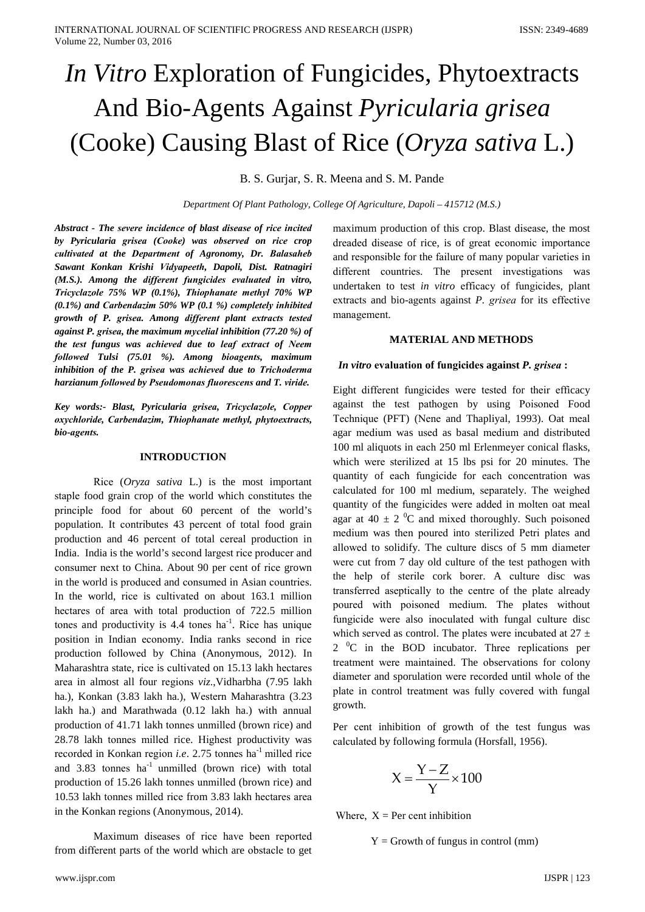# *In Vitro* Exploration of Fungicides, Phytoextracts And Bio-Agents Against *Pyricularia grised* (Cooke) Causing Blast of Rice (Oryza sativa L.)

#### B. S. Gurjar, S. R. Meena and S. M. Pande

Department Of Plant Pathology, College Of Agriculture, Dapoli - 415712 (M.S.)

Abstract - The severe incidence of blast disease of rice incited by Pyricularia grisea (Cooke) was observed on rice crop cultivated at the Department of Agronomy, Dr. Balasaheb Sawant Konkan Krishi Vidyapeeth, Dapoli, Dist. Ratnagiri (M.S.). Among the different fungicides evaluated in vitro, Tricyclazole 75% WP (0.1%), Thiophanate methyl 70% WP  $(0.1\%)$  and Carbendazim 50% WP  $(0.1\%)$  completely inhibited growth of P. grisea. Among different plant extracts tested against P. grisea, the maximum mycelial inhibition  $(77.20\%)$  of the test fungus was achieved due to leaf extract of Neem followed Tulsi (75.01 %). Among bioagents, maximum inhibition of the P. grisea was achieved due to Trichoderma harzianum followed by Pseudomonas fluorescens and T. viride.

Key words:- Blast, Pyricularia grisea, Tricyclazole, Copper oxychloride, Carbendazim, Thiophanate methyl, phytoextracts, bio-agents.

#### **INTRODUCTION**

Rice  $(Oryza sativa L.)$  is the most important staple food grain crop of the world which constitutes the principle food for about 60 percent of the world's population. It contributes 43 percent of total food grain production and 46 percent of total cereal production in India. India is the world's second largest rice producer and consumer next to China. About 90 per cent of rice grown in the world is produced and consumed in Asian countries. In the world, rice is cultivated on about 163.1 million hectares of area with total production of 722.5 million tones and productivity is  $4.4$  tones ha<sup>-1</sup>. Rice has unique position in Indian economy. India ranks second in rice production followed by China (Anonymous, 2012). In Maharashtra state, rice is cultivated on 15.13 lakh hectares area in almost all four regions viz., Vidharbha (7.95 lakh ha.), Konkan (3.83 lakh ha.), Western Maharashtra (3.23 lakh ha.) and Marathwada (0.12 lakh ha.) with annual production of 41.71 lakh tonnes unmilled (brown rice) and 28.78 lakh tonnes milled rice. Highest productivity was recorded in Konkan region *i.e.* 2.75 tonnes ha<sup>-1</sup> milled rice and 3.83 tonnes ha<sup>-1</sup> unmilled (brown rice) with total production of 15.26 lakh tonnes unmilled (brown rice) and 10.53 lakh tonnes milled rice from 3.83 lakh hectares area in the Konkan regions (Anonymous, 2014).

Maximum diseases of rice have been reported from different parts of the world which are obstacle to get

maximum production of this crop. Blast disease, the most dreaded disease of rice, is of great economic importance and responsible for the failure of many popular varieties in different countries. The present investigations was undertaken to test in vitro efficacy of fungicides, plant extracts and bio-agents against P. grisea for its effective management.

#### **MATERIAL AND METHODS**

#### *In vitro* evaluation of fungicides against *P. grisea* :

Eight different fungicides were tested for their efficacy against the test pathogen by using Poisoned Food Technique (PFT) (Nene and Thapliyal, 1993). Oat meal agar medium was used as basal medium and distributed 100 ml aliquots in each 250 ml Erlenmeyer conical flasks, which were sterilized at 15 lbs psi for 20 minutes. The quantity of each fungicide for each concentration was calculated for 100 ml medium, separately. The weighed quantity of the fungicides were added in molten oat meal agar at 40  $\pm$  2 <sup>0</sup>C and mixed thoroughly. Such poisoned medium was then poured into sterilized Petri plates and allowed to solidify. The culture discs of 5 mm diameter were cut from 7 day old culture of the test pathogen with the help of sterile cork borer. A culture disc was transferred aseptically to the centre of the plate already poured with poisoned medium. The plates without fungicide were also inoculated with fungal culture disc which served as control. The plates were incubated at  $27 \pm$  $2<sup>0</sup>C$  in the BOD incubator. Three replications per treatment were maintained. The observations for colony diameter and sporulation were recorded until whole of the plate in control treatment was fully covered with fungal growth.

Per cent inhibition of growth of the test fungus was calculated by following formula (Horsfall, 1956).

$$
X = \frac{Y - Z}{Y} \times 100
$$

Where,  $X = Per$  cent inhibition

 $Y =$  Growth of fungus in control (mm)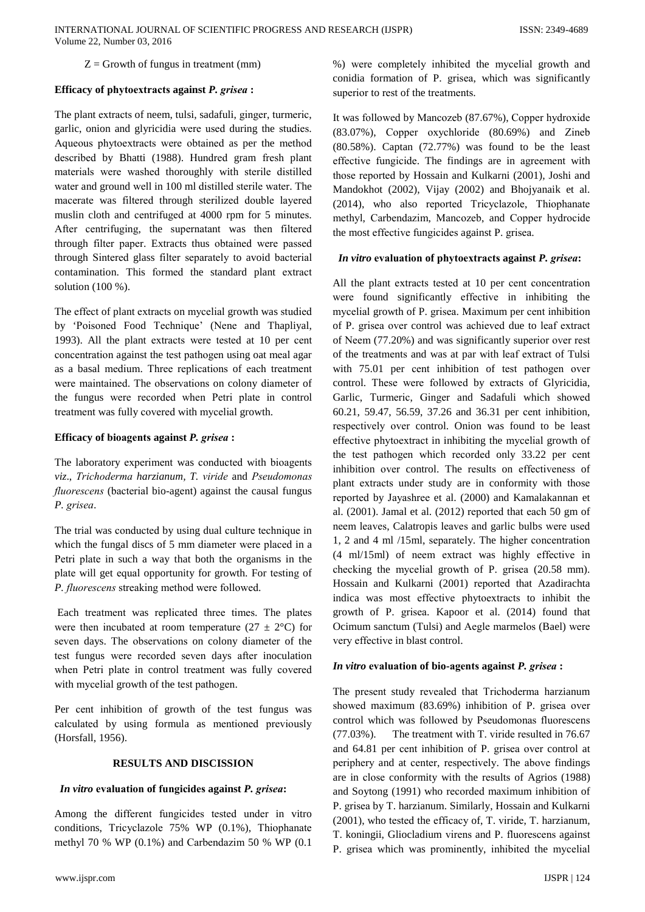## $Z =$  Growth of fungus in treatment (mm)

## Efficacy of phytoextracts against P. grisea:

The plant extracts of neem, tulsi, sadafuli, ginger, turmeric, garlic, onion and glyricidia were used during the studies. Aqueous phytoextracts were obtained as per the method described by Bhatti (1988). Hundred gram fresh plant materials were washed thoroughly with sterile distilled water and ground well in 100 ml distilled sterile water. The macerate was filtered through sterilized double layered muslin cloth and centrifuged at 4000 rpm for 5 minutes. After centrifuging, the supernatant was then filtered through filter paper. Extracts thus obtained were passed through Sintered glass filter separately to avoid bacterial contamination. This formed the standard plant extract solution  $(100\%)$ .

The effect of plant extracts on mycelial growth was studied by 'Poisoned Food Technique' (Nene and Thapliyal, 1993). All the plant extracts were tested at 10 per cent concentration against the test pathogen using oat meal agar as a basal medium. Three replications of each treatment were maintained. The observations on colony diameter of the fungus were recorded when Petri plate in control treatment was fully covered with mycelial growth.

# Efficacy of bioagents against P. grisea:

The laboratory experiment was conducted with bioagents viz., Trichoderma harzianum, T. viride and Pseudomonas *fluorescens* (bacterial bio-agent) against the causal fungus P. grisea.

The trial was conducted by using dual culture technique in which the fungal discs of 5 mm diameter were placed in a Petri plate in such a way that both the organisms in the plate will get equal opportunity for growth. For testing of P. fluorescens streaking method were followed.

Each treatment was replicated three times. The plates were then incubated at room temperature  $(27 \pm 2^{\circ}\text{C})$  for seven days. The observations on colony diameter of the test fungus were recorded seven days after inoculation when Petri plate in control treatment was fully covered with mycelial growth of the test pathogen.

Per cent inhibition of growth of the test fungus was calculated by using formula as mentioned previously (Horsfall, 1956).

# **RESULTS AND DISCISSION**

# In vitro evaluation of fungicides against P. grisea:

Among the different fungicides tested under in vitro conditions, Tricyclazole 75% WP (0.1%), Thiophanate methyl 70 % WP (0.1%) and Carbendazim 50 % WP (0.1 %) were completely inhibited the mycelial growth and conidia formation of P. grisea, which was significantly superior to rest of the treatments.

It was followed by Mancozeb (87.67%), Copper hydroxide (83.07%), Copper oxychloride (80.69%) and Zineb  $(80.58\%)$ . Captan  $(72.77\%)$  was found to be the least effective fungicide. The findings are in agreement with those reported by Hossain and Kulkarni (2001), Joshi and Mandokhot (2002), Vijay (2002) and Bhojyanaik et al. (2014), who also reported Tricyclazole, Thiophanate methyl, Carbendazim, Mancozeb, and Copper hydrocide the most effective fungicides against P. grisea.

## In vitro evaluation of phytoextracts against P. grisea:

All the plant extracts tested at 10 per cent concentration were found significantly effective in inhibiting the mycelial growth of P. grisea. Maximum per cent inhibition of P. grisea over control was achieved due to leaf extract of Neem (77.20%) and was significantly superior over rest of the treatments and was at par with leaf extract of Tulsi with 75.01 per cent inhibition of test pathogen over control. These were followed by extracts of Glyricidia, Garlic, Turmeric, Ginger and Sadafuli which showed 60.21, 59.47, 56.59, 37.26 and 36.31 per cent inhibition, respectively over control. Onion was found to be least effective phytoextract in inhibiting the mycelial growth of the test pathogen which recorded only 33.22 per cent inhibition over control. The results on effectiveness of plant extracts under study are in conformity with those reported by Jayashree et al. (2000) and Kamalakannan et al.  $(2001)$ . Jamal et al.  $(2012)$  reported that each 50 gm of neem leaves, Calatropis leaves and garlic bulbs were used 1, 2 and 4 ml /15ml, separately. The higher concentration (4 ml/15ml) of neem extract was highly effective in checking the mycelial growth of P. grisea (20.58 mm). Hossain and Kulkarni (2001) reported that Azadirachta indica was most effective phytoextracts to inhibit the growth of P. grisea. Kapoor et al. (2014) found that Ocimum sanctum (Tulsi) and Aegle marmelos (Bael) were very effective in blast control.

## In vitro evaluation of bio-agents against P. grisea :

The present study revealed that Trichoderma harzianum showed maximum (83.69%) inhibition of P. grisea over control which was followed by Pseudomonas fluorescens The treatment with T. viride resulted in 76.67  $(77.03\%)$ . and 64.81 per cent inhibition of P. grisea over control at periphery and at center, respectively. The above findings are in close conformity with the results of Agrios (1988) and Soytong (1991) who recorded maximum inhibition of P. grisea by T. harzianum. Similarly, Hossain and Kulkarni (2001), who tested the efficacy of, T. viride, T. harzianum, T. koningii, Gliocladium virens and P. fluorescens against P. grisea which was prominently, inhibited the mycelial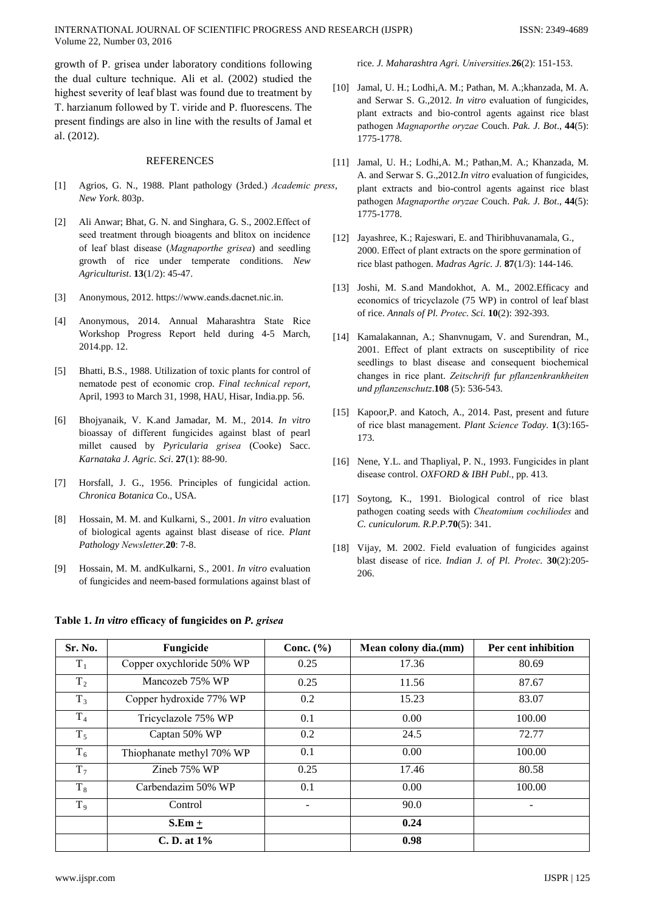growth of P. grisea under laboratory conditions following the dual culture technique. Ali et al. (2002) studied the highest severity of leaf blast was found due to treatment by T. harzianum followed by T. viride and P. fluorescens. The present findings are also in line with the results of Jamal et al. (2012).

#### **REFERENCES**

- Agrios, G. N., 1988. Plant pathology (3rded.) Academic press.  $[11]$ New York, 803p.
- [2] Ali Anwar; Bhat, G. N. and Singhara, G. S., 2002. Effect of seed treatment through bioagents and blitox on incidence of leaf blast disease (Magnaporthe grisea) and seedling growth of rice under temperate conditions. New Agriculturist. 13(1/2): 45-47.
- Anonymous, 2012. https://www.eands.dacnet.nic.in.  $\left[3\right]$
- Anonymous, 2014. Annual Maharashtra State Rice  $[4]$ Workshop Progress Report held during 4-5 March, 2014.pp. 12.
- $\lceil 5 \rceil$ Bhatti, B.S., 1988. Utilization of toxic plants for control of nematode pest of economic crop. Final technical report, April, 1993 to March 31, 1998, HAU, Hisar, India.pp. 56.
- Bhojyanaik, V. K.and Jamadar, M. M., 2014. In vitro  $[6]$ bioassay of different fungicides against blast of pearl millet caused by Pyricularia grisea (Cooke) Sacc. Karnataka J. Agric. Sci. 27(1): 88-90.
- Horsfall, J. G., 1956. Principles of fungicidal action.  $\lceil 7 \rceil$ Chronica Botanica Co., USA.
- Hossain, M. M. and Kulkarni, S., 2001. In vitro evaluation [8] of biological agents against blast disease of rice. Plant Pathology Newsletter.20: 7-8.
- $[9]$ Hossain, M. M. and Kulkarni, S., 2001. In vitro evaluation of fungicides and neem-based formulations against blast of

#### Table 1. In vitro efficacy of fungicides on P. grisea

| rice. J. Maharashtra Agri. Universities. 26(2): 151-153. |  |  |  |
|----------------------------------------------------------|--|--|--|
|                                                          |  |  |  |

- [10] Jamal, U. H.; Lodhi, A. M.; Pathan, M. A.; khanzada, M. A. and Serwar S. G., 2012. In vitro evaluation of fungicides, plant extracts and bio-control agents against rice blast pathogen Magnaporthe oryzae Couch. Pak. J. Bot., 44(5): 1775-1778.
- [11] Jamal, U. H.; Lodhi, A. M.; Pathan, M. A.; Khanzada, M. A. and Serwar S. G., 2012.In vitro evaluation of fungicides, plant extracts and bio-control agents against rice blast pathogen Magnaporthe oryzae Couch. Pak. J. Bot., 44(5): 1775-1778.
- [12] Jayashree, K.; Rajeswari, E. and Thiribhuvanamala, G., 2000. Effect of plant extracts on the spore germination of rice blast pathogen. *Madras Agric. J.* 87(1/3): 144-146.
- [13] Joshi, M. S.and Mandokhot, A. M., 2002. Efficacy and economics of tricyclazole (75 WP) in control of leaf blast of rice. Annals of Pl. Protec. Sci. 10(2): 392-393.
- [14] Kamalakannan, A.; Shanvnugam, V. and Surendran, M., 2001. Effect of plant extracts on susceptibility of rice seedlings to blast disease and consequent biochemical changes in rice plant. Zeitschrift fur pflanzenkrankheiten und pflanzenschutz.108 (5): 536-543.
- [15] Kapoor, P. and Katoch, A., 2014. Past, present and future of rice blast management. Plant Science Today. 1(3):165-173.
- [16] Nene, Y.L. and Thapliyal, P. N., 1993. Fungicides in plant disease control. OXFORD & IBH Publ., pp. 413.
- [17] Soytong, K., 1991. Biological control of rice blast pathogen coating seeds with Cheatomium cochiliodes and C. cuniculorum. R.P.P.70(5): 341.
- [18] Vijay, M. 2002. Field evaluation of fungicides against blast disease of rice. Indian J. of Pl. Protec. 30(2):205-206.

| Sr. No.        | Fungicide                 | Conc. $(\% )$ | Mean colony dia.(mm) | Per cent inhibition |
|----------------|---------------------------|---------------|----------------------|---------------------|
| $T_{1}$        | Copper oxychloride 50% WP | 0.25          | 17.36                | 80.69               |
| T <sub>2</sub> | Mancozeb 75% WP           | 0.25          | 11.56                | 87.67               |
| $T_3$          | Copper hydroxide 77% WP   | 0.2           | 15.23                | 83.07               |
| T <sub>4</sub> | Tricyclazole 75% WP       | 0.1           | 0.00                 | 100.00              |
| $T_5$          | Captan 50% WP             | 0.2           | 24.5                 | 72.77               |
| $T_6$          | Thiophanate methyl 70% WP | 0.1           | 0.00                 | 100.00              |
| $T_7$          | Zineb 75% WP              | 0.25          | 17.46                | 80.58               |
| $T_8$          | Carbendazim 50% WP        | 0.1           | 0.00                 | 100.00              |
| T <sub>9</sub> | Control                   |               | 90.0                 |                     |
|                | $S.Em +$                  |               | 0.24                 |                     |
|                | C.D. at $1\%$             |               | 0.98                 |                     |